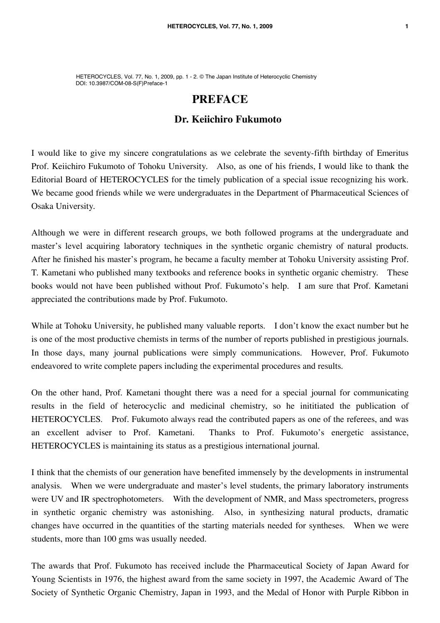HETEROCYCLES, Vol. 77, No. 1, 2009, pp. 1 - 2. © The Japan Institute of Heterocyclic Chemistry DOI: 10.3987/COM-08-S(F)Preface-1

## **PREFACE**

## **Dr. Keiichiro Fukumoto**

I would like to give my sincere congratulations as we celebrate the seventy-fifth birthday of Emeritus Prof. Keiichiro Fukumoto of Tohoku University. Also, as one of his friends, I would like to thank the Editorial Board of HETEROCYCLES for the timely publication of a special issue recognizing his work. We became good friends while we were undergraduates in the Department of Pharmaceutical Sciences of Osaka University.

Although we were in different research groups, we both followed programs at the undergraduate and master's level acquiring laboratory techniques in the synthetic organic chemistry of natural products. After he finished his master's program, he became a faculty member at Tohoku University assisting Prof. T. Kametani who published many textbooks and reference books in synthetic organic chemistry. These books would not have been published without Prof. Fukumoto's help. I am sure that Prof. Kametani appreciated the contributions made by Prof. Fukumoto.

While at Tohoku University, he published many valuable reports. I don't know the exact number but he is one of the most productive chemists in terms of the number of reports published in prestigious journals. In those days, many journal publications were simply communications. However, Prof. Fukumoto endeavored to write complete papers including the experimental procedures and results.

On the other hand, Prof. Kametani thought there was a need for a special journal for communicating results in the field of heterocyclic and medicinal chemistry, so he inititiated the publication of HETEROCYCLES. Prof. Fukumoto always read the contributed papers as one of the referees, and was an excellent adviser to Prof. Kametani. Thanks to Prof. Fukumoto's energetic assistance, HETEROCYCLES is maintaining its status as a prestigious international journal.

I think that the chemists of our generation have benefited immensely by the developments in instrumental analysis. When we were undergraduate and master's level students, the primary laboratory instruments were UV and IR spectrophotometers. With the development of NMR, and Mass spectrometers, progress in synthetic organic chemistry was astonishing. Also, in synthesizing natural products, dramatic changes have occurred in the quantities of the starting materials needed for syntheses. When we were students, more than 100 gms was usually needed.

The awards that Prof. Fukumoto has received include the Pharmaceutical Society of Japan Award for Young Scientists in 1976, the highest award from the same society in 1997, the Academic Award of The Society of Synthetic Organic Chemistry, Japan in 1993, and the Medal of Honor with Purple Ribbon in